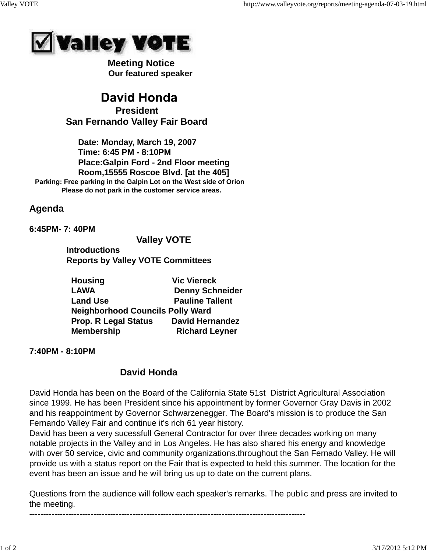

 **Meeting Notice Our featured speaker**

# **David Honda President San Fernando Valley Fair Board**

 **Date: Monday, March 19, 2007 Time: 6:45 PM - 8:10PM Place:Galpin Ford - 2nd Floor meeting Room,15555 Roscoe Blvd. [at the 405] Parking: Free parking in the Galpin Lot on the West side of Orion Please do not park in the customer service areas.**

## **Agenda**

**6:45PM- 7: 40PM** 

### **Valley VOTE**

 **Introductions Reports by Valley VOTE Committees**

| <b>Housing</b>                          | <b>Vic Viereck</b>     |
|-----------------------------------------|------------------------|
| <b>LAWA</b>                             | <b>Denny Schneider</b> |
| <b>Land Use</b>                         | <b>Pauline Tallent</b> |
| <b>Neighborhood Councils Polly Ward</b> |                        |
| <b>Prop. R Legal Status</b>             | <b>David Hernandez</b> |
| <b>Membership</b>                       | <b>Richard Leyner</b>  |

**7:40PM - 8:10PM**

# **David Honda**

---------------------------------------------------------------------------------------------------

David Honda has been on the Board of the California State 51st District Agricultural Association since 1999. He has been President since his appointment by former Governor Gray Davis in 2002 and his reappointment by Governor Schwarzenegger. The Board's mission is to produce the San Fernando Valley Fair and continue it's rich 61 year history.

David has been a very sucessfull General Contractor for over three decades working on many notable projects in the Valley and in Los Angeles. He has also shared his energy and knowledge with over 50 service, civic and community organizations.throughout the San Fernado Valley. He will provide us with a status report on the Fair that is expected to held this summer. The location for the event has been an issue and he will bring us up to date on the current plans.

Questions from the audience will follow each speaker's remarks. The public and press are invited to the meeting.